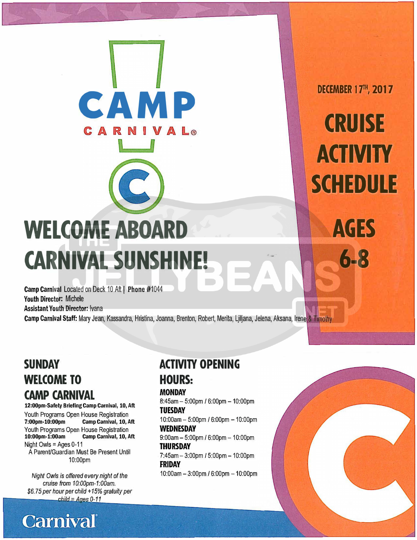# **WELCOME ABOARD CARNIVAL SUNSHINE!**

**CAMP** 

Camp Carnival Located on Deck 10 Aft | Phone #1044 Youth Director: Michele Assistant Youth Director: Ivana

Camp Carnival Staff: Mary Jean, Kassandra, Hristina, Joanna, Brenton, Robert, Merita, Ljiljana, Jelena, Aksana, Irene & Timothy

# **SUNDAY WELCOME TO CAMP CARNIVAL**

#### **12:00pm-Safety Briefing Camp Carnival, 10, Aft**

Youth Programs Open House Registration<br>7:00pm-10:00pm Camp Carnival, 10, A Camp Carnival, 10, Aft Youth Programs Open House Registration<br>10:00pm-1:00am Camp Carnival, 10, A **Camp Carnival, 10, Aft** Night Owls = Ages 0-11 A Parent/Guardian Must Be Present Until 10:00pm

*Night Owls is offered every night of the cruise from 10:00pm-1:00am. \$6.* 75 *per hour per child* + *15% gratuity per*   $chid = A$ ges  $0-11$ 

**Carnival** 

# **ACTIVITY OPENING**

### **HOURS:**

#### **MONDAY**

8:45am - 5:00pm / 6:00pm - 10:00pm **TUESDAY**  10:00am - 5:00pm / 6:00pm - 10:00pm **WEDNESDAY**   $9:00$ am  $-5:00$ pm /  $6:00$ pm  $-10:00$ pm **THURSDAY**  7:45am -3:00pm / 5:00pm -10:00pm **FRIDAY**  10:00am - 3:00pm / 6:00pm - 10:00pm

**DECEMBER 17<sup>TH</sup>, 2017** 

**CRUISE ACTIVITY SCHEDULE** 

**AGES** 

**6-8**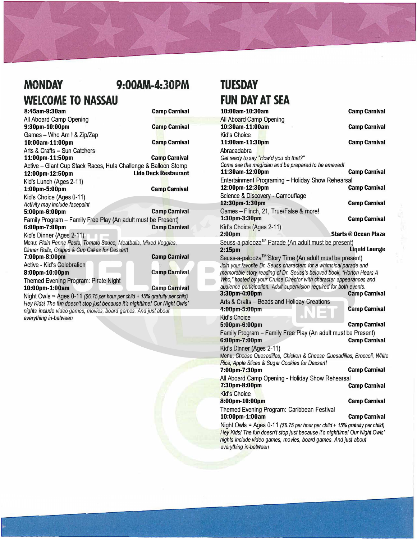### **MONDAY 9:00AM-4:30PM WELCOME TO NASSAU**

#### **8:45am-9:30am Camp Carnival**  All Aboard Camp Opening **9:30pm-10:00pm Camp Carnival**  Games - Who Am I & Zip/Zap **10:00am-11:00pm Camp Camp Carnival** Arts & Crafts - Sun Catchers **11:00pm-11:SOpm Camp Carnival**  Active – Giant Cup Stack Races, Hula Challenge & Balloon Stomp<br>12:00pm-12:50pm<br>Lido Deck Restaurant **12:00pm-12:SOpm Lido Deck Restaurant**  Kid's Lunch (Ages 2-11) **1:00pm-5:00pm Camp Carnival**  Kid's Choice (Ages 0-11) *Activity may include facepaint*  **5:00pm-6:00pm Camp Carnival**  Family Program - Family Free Play (An adult must be Present) **Camp Carnival** Kid's Dinner (Ages 2-11)

Menu: *Plain Penne Pasta, Tomato Sauce, Meatballs, Mixed Veggies, Dinner* Ro/ls, *Grapes* & *Cup Cakes for Dessert!* 

**7:00pm-8:00pm Camp Carnival**  Active - Kid's Celebration

**8:00pm-10:00pm Camp Carnival Camp Carnival** 

Themed Evening Program: Pirate Night **10:00pm-1:00am Camp Camp Camp Camp Camp** 

Night Owls = Ages 0-11 *(\$6. 75 per hour per child+ 15% gratuity per child) Hey Kids! The fun doesn't stop just because* it's *nighttime! Our Night Owls' nights include video* games, movies, *board games. And just about everything in-between* 

### **TUESDAY FUN DAY AT SEA**

| 10:00am-10:30am                                                                                                                             | <b>Camp Carnival</b>        |
|---------------------------------------------------------------------------------------------------------------------------------------------|-----------------------------|
| All Aboard Camp Opening                                                                                                                     |                             |
| 10:30am-11:00am                                                                                                                             | <b>Camp Carnival</b>        |
| Kid's Choice                                                                                                                                |                             |
| 11:00am-11:30pm                                                                                                                             | <b>Camp Carnival</b>        |
| Abracadabra                                                                                                                                 |                             |
| Get ready to say "How'd you do that?"                                                                                                       |                             |
| Come see the magician and be prepared to be amazed!                                                                                         |                             |
| 11:30am-12:00pm                                                                                                                             | <b>Camp Carnival</b>        |
| Entertainment Programing - Holiday Show Rehearsal                                                                                           |                             |
| 12:00pm-12:30pm                                                                                                                             | <b>Camp Carnival</b>        |
| Science & Discovery - Camouflage                                                                                                            |                             |
| 12:30pm-1:30pm                                                                                                                              | <b>Camp Carnival</b>        |
| Games - Flinch, 21, True/False & more!                                                                                                      |                             |
| 1:30pm-3:30pm                                                                                                                               | <b>Camp Carnival</b>        |
| Kid's Choice (Ages 2-11)                                                                                                                    |                             |
| 2:00 <sub>pm</sub>                                                                                                                          | <b>Starts @ Ocean Plaza</b> |
| Seuss-a-palooza™ Parade (An adult must be present)                                                                                          |                             |
| 2:15 <sub>pm</sub>                                                                                                                          | <b>Liquid Lounge</b>        |
| Seuss-a-palooza <sup>™</sup> Story Time (An adult must be present)                                                                          |                             |
| Join your favorite Dr. Seuss characters for a whimsical parade and                                                                          |                             |
| memorable story reading of Dr. Seuss's beloved book, "Horton Hears A<br>Who," hosted by your Cruise Director with character appearances and |                             |
| audience participation. Adult supervision required for both events.                                                                         |                             |
| 3:30pm-4:00pm                                                                                                                               | <b>Camp Carnival</b>        |
| Arts & Crafts - Beads and Holiday Creations                                                                                                 |                             |
| 4:00pm-5:00pm                                                                                                                               | <b>Camp Carnival</b>        |
| <b>Kid's Choice</b>                                                                                                                         |                             |
| 5:00pm-6:00pm                                                                                                                               | <b>Camp Carnival</b>        |
| Family Program - Family Free Play (An adult must be Present)                                                                                |                             |
| 6:00pm-7:00pm                                                                                                                               | <b>Camp Carnival</b>        |
| Kid's Dinner (Ages 2-11)                                                                                                                    |                             |
| Menu: Cheese Quesadillas, Chicken & Cheese Quesadillas, Broccoli, White                                                                     |                             |
| Rice, Apple Slices & Sugar Cookies for Dessert!                                                                                             |                             |
| 7:00pm-7:30pm                                                                                                                               | <b>Camp Carnival</b>        |
| All Aboard Camp Opening - Holiday Show Rehearsal                                                                                            |                             |
| 7:30pm-8:00pm                                                                                                                               | <b>Camp Carnival</b>        |
| <b>Kid's Choice</b>                                                                                                                         |                             |
| 8:00pm-10:00pm                                                                                                                              | <b>Camp Carnival</b>        |
| Themed Evening Program: Caribbean Festival                                                                                                  |                             |
| 10:00pm-1:00am                                                                                                                              | <b>Camp Carnival</b>        |
| Night Owls = Ages $0-11$ (\$6.75 per hour per child + 15% gratuity per child)                                                               |                             |
| Hey Kids! The fun doesn't stop just because it's nighttime! Our Night Owls'                                                                 |                             |

*nights include video games, movies, board games. And just about everything in-between*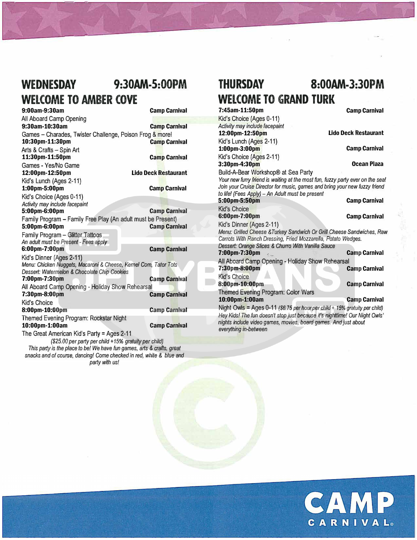### **WEDNESDAY 9:30AM-S:OOPM WELCOME TO AMBER COVE**

 $\sum_{i=1}^{n}$ 

**9:00am-9:30am Camp Carnival** 

**7** 

All Aboard Camp Opening **9:30am-10:30am Camp Carnival**  Games - Charades, Twister Challenge, Poison Frog & more!<br>10:30pm-11:30pm<br>Camp Carnival 10:30pm-11:30pm Arts & Crafts - Spin Art **11:30pm-11:50pm Camp Carnival**  Games - Yes/No Game **12:00pm-12:SOpm Lido Deck Restaurant**  Kid's Lunch (Ages 2-11) **1:00pm-5:00pm Camp Carnival**  Kid's Choice (Ages 0-11) *Activity may include facepaint*  **5:00pm-6:00pm Camp Carnival** Family Program – Family Free Play (An adult must be Present)<br>5:00pm-6:00pm **5:00pm-6:00pm Camp Carnival**  Family Program - Glitter Tattoos *An adult must be Present - Fees apply*  **Camp Carnival** Kid's Dinner (Ages 2-11) *Menu: Chicken Nuggets, Macaroni* & *Cheese, Kernel* Com, *Tator Tots Dessert: Watermelon* & *Chocolate Chip Cookies*  **7:00pm-7:30pm Camp Carnival** All Aboard Camp Opening - Holiday Show Rehearsal<br>7:30pm-8:00pm **Camp Carnival** Kid's Choice **8:00pm-10:00pm Camp Camp Carnival** Themed Evening Program: Rockstar Night **10:00pm-1:00am Camp Carnival**  The Great American Kid's Party= Ages 2-11 *(\$25.00 per party per child +15% gratuity per child) This party* is *the place to be! We have fun games, arts* & *crafts, great* 

*snacks and* of course, *dancing! Come checked in red, while* & *blue and party with us!* 

# **THURSDAY 8:00AM-3:30PM WELCOME TO GRAND TURK**

]

**7:45am-11:50pm Camp Carnival**  Kid's Choice (Ages 0-11) *Activity may include facepaint*  **12:00pm-12:SOpm Lido Deck Restaurant**  Kid's Lunch (Ages 2-11) **1:00pm-3:00pm Camp Carnival**  Kid's Choice (Ages 2-11) **3:30pm-4:30pm Ocean Plaza**  Build-A-Bear Workshop® at Sea Party *Your new furry friend is waiting at the most fun, fuzzy party ever on the sea! Join your Cruise Director for music, games and bring your new fuzzy friend to life! (Fees Apply) - An Adult must be present*  **5:00pm-5:SOpm Camp Carnival**  Kid's Choice<br>6:00pm-7:00pm **Camp Carnival** Kid's Dinner (Ages 2-11) *Menu: Grilled Cheese* & *Turkey Sandwich Or Grill Cheese Sandwiches, Raw Carrots With Ranch Dressing, Fried Mozzarella, Potato Wedges. Dessert: Orange Slices* & *Churro With Vanilla Sauce*  **7:00pm-7:30pm .· \_ Camp Carnival**  All Aboard Camp Opening - Holiday Show Rehearsal<br>7:30pm-8:00pm **Camp Carnival** Kid's Choice **8:00pm-10:00pm Camp Camp Camp Camival** Themed Evening Program: Color Wars **10:00pm-1:00am Camp Carnival**  Night Owls = Ages 0-11 *(\$6.75 per hour per child + 15% gratuity per child) Hey Kids! The fun doesn't stop just because it's nighttime! Our Night Owls'* 

*nights include video* games, *movies, board games. And just about* 

*everything in-between*